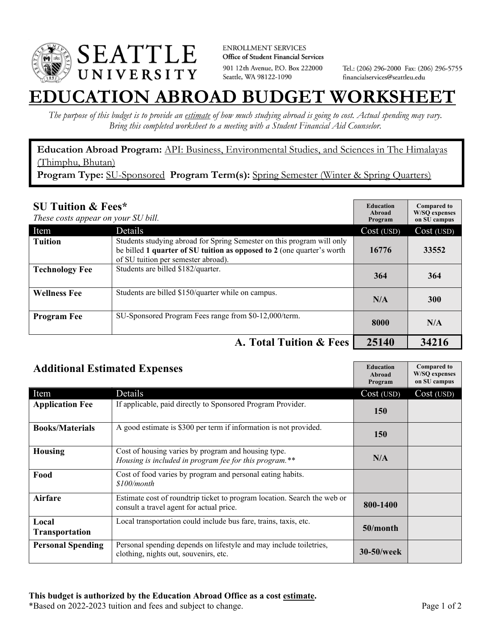

**ENROLLMENT SERVICES** Office of Student Financial Services 901 12th Avenue, P.O. Box 222000 Seattle, WA 98122-1090

Tel.: (206) 296-2000 Fax: (206) 296-5755 financialservices@seattleu.edu

## **CATION ABROAD BUDGET WORKSHEE**

*The purpose of this budget is to provide an estimate of how much studying abroad is going to cost. Actual spending may vary. Bring this completed worksheet to a meeting with a Student Financial Aid Counselor.* 

**Education Abroad Program:** API: Business, Environmental Studies, and Sciences in The Himalayas (Thimphu, Bhutan) **Program Type:** SU-Sponsored **Program Term(s):** Spring Semester (Winter & Spring Quarters)

**SU Tuition & Fees\***  *These costs appear on your SU bill.* **Education Abroad Program Compared to W/SQ expenses on SU campus**  Item Details Details Cost (USD) Cost (USD) **Tuition** Students studying abroad for Spring Semester on this program will only be billed **1 quarter of SU tuition as opposed to 2** (one quarter's worth of SU tuition per semester abroad). **16776 33552 Technology Fee** Students are billed \$182/quarter. **364** 364 364 **Wellness Fee** Students are billed \$150/quarter while on campus. **N/A** N/A 300 **Program Fee** SU-Sponsored Program Fees range from \$0-12,000/term. **8000** N/A **A. Total Tuition & Fees** 25140 **34216** 

| <b>Additional Estimated Expenses</b> |                                                                                                                      | <b>Education</b><br>Abroad<br>Program | <b>Compared to</b><br><b>W/SQ</b> expenses<br>on SU campus |
|--------------------------------------|----------------------------------------------------------------------------------------------------------------------|---------------------------------------|------------------------------------------------------------|
| Item                                 | Details                                                                                                              | Cost (USD)                            | Cost (USD)                                                 |
| <b>Application Fee</b>               | If applicable, paid directly to Sponsored Program Provider.                                                          | <b>150</b>                            |                                                            |
| <b>Books/Materials</b>               | A good estimate is \$300 per term if information is not provided.                                                    | <b>150</b>                            |                                                            |
| <b>Housing</b>                       | Cost of housing varies by program and housing type.<br>Housing is included in program fee for this program.**        | N/A                                   |                                                            |
| Food                                 | Cost of food varies by program and personal eating habits.<br>\$100/month                                            |                                       |                                                            |
| <b>Airfare</b>                       | Estimate cost of roundtrip ticket to program location. Search the web or<br>consult a travel agent for actual price. | 800-1400                              |                                                            |
| Local<br>Transportation              | Local transportation could include bus fare, trains, taxis, etc.                                                     | $50/m$ onth                           |                                                            |
| <b>Personal Spending</b>             | Personal spending depends on lifestyle and may include toiletries,<br>clothing, nights out, souvenirs, etc.          | <b>30-50/week</b>                     |                                                            |